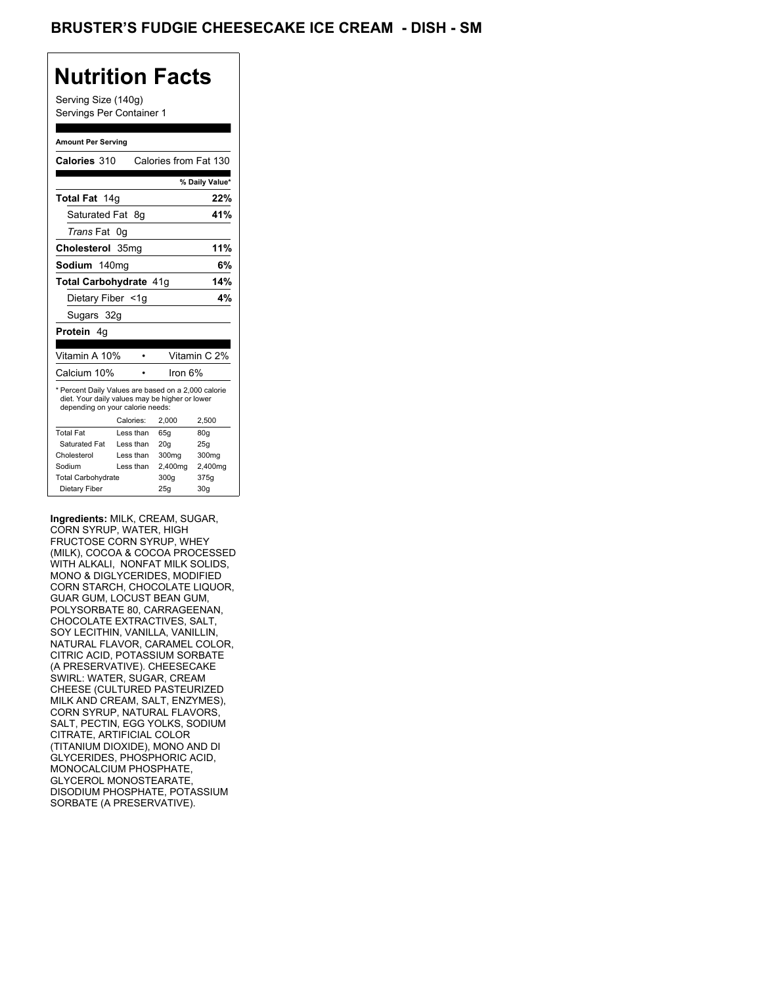### **Nutrition Facts**

Serving Size (140g) Servings Per Container 1

#### **Amount Per Serving**

| Calories 310                                                                                                                              |    |           | Calories from Fat 130 |                |
|-------------------------------------------------------------------------------------------------------------------------------------------|----|-----------|-----------------------|----------------|
|                                                                                                                                           |    |           |                       | % Daily Value* |
| Total Fat 14g                                                                                                                             |    |           |                       | 22%            |
| Saturated Fat                                                                                                                             |    | 8g        |                       | 41%            |
| <i>Trans</i> Fat                                                                                                                          | 0g |           |                       |                |
| Cholesterol 35mg                                                                                                                          |    |           |                       | 11%            |
| Sodium 140mg                                                                                                                              |    |           |                       | 6%             |
| Total Carbohydrate 41g                                                                                                                    |    |           |                       | 14%            |
| Dietary Fiber <1g                                                                                                                         |    |           |                       | 4%             |
| Sugars 32g                                                                                                                                |    |           |                       |                |
| <b>Protein</b> 4q                                                                                                                         |    |           |                       |                |
|                                                                                                                                           |    |           |                       |                |
| Vitamin A 10%                                                                                                                             |    |           |                       | Vitamin C 2%   |
| Calcium 10%                                                                                                                               |    |           | Iron 6%               |                |
| * Percent Daily Values are based on a 2,000 calorie<br>diet. Your daily values may be higher or lower<br>depending on your calorie needs: |    |           |                       |                |
|                                                                                                                                           |    | Calories: | 2,000                 | 2,500          |
| <b>Total Fat</b>                                                                                                                          |    | Less than | 65q                   | 80q            |
| Saturated Fat                                                                                                                             |    | Less than | 20q                   | 25g            |
| Cholesterol                                                                                                                               |    | Less than | 300mg                 | 300mg          |
| Sodium                                                                                                                                    |    | Less than | 2,400mg               | 2,400mg        |
| <b>Total Carbohydrate</b>                                                                                                                 |    |           | 300a                  | 375g           |
| Dietary Fiber                                                                                                                             |    |           | 25q                   | 30q            |

**Ingredients:** MILK, CREAM, SUGAR, CORN SYRUP, WATER, HIGH FRUCTOSE CORN SYRUP, WHEY (MILK), COCOA & COCOA PROCESSED WITH ALKALI, NONFAT MILK SOLIDS, MONO & DIGLYCERIDES, MODIFIED CORN STARCH, CHOCOLATE LIQUOR, GUAR GUM, LOCUST BEAN GUM, POLYSORBATE 80, CARRAGEENAN, CHOCOLATE EXTRACTIVES, SALT, SOY LECITHIN, VANILLA, VANILLIN, NATURAL FLAVOR, CARAMEL COLOR, CITRIC ACID, POTASSIUM SORBATE (A PRESERVATIVE). CHEESECAKE SWIRL: WATER, SUGAR, CREAM CHEESE (CULTURED PASTEURIZED MILK AND CREAM, SALT, ENZYMES), CORN SYRUP, NATURAL FLAVORS, SALT, PECTIN, EGG YOLKS, SODIUM CITRATE, ARTIFICIAL COLOR (TITANIUM DIOXIDE), MONO AND DI GLYCERIDES, PHOSPHORIC ACID, MONOCALCIUM PHOSPHATE, GLYCEROL MONOSTEARATE, DISODIUM PHOSPHATE, POTASSIUM SORBATE (A PRESERVATIVE).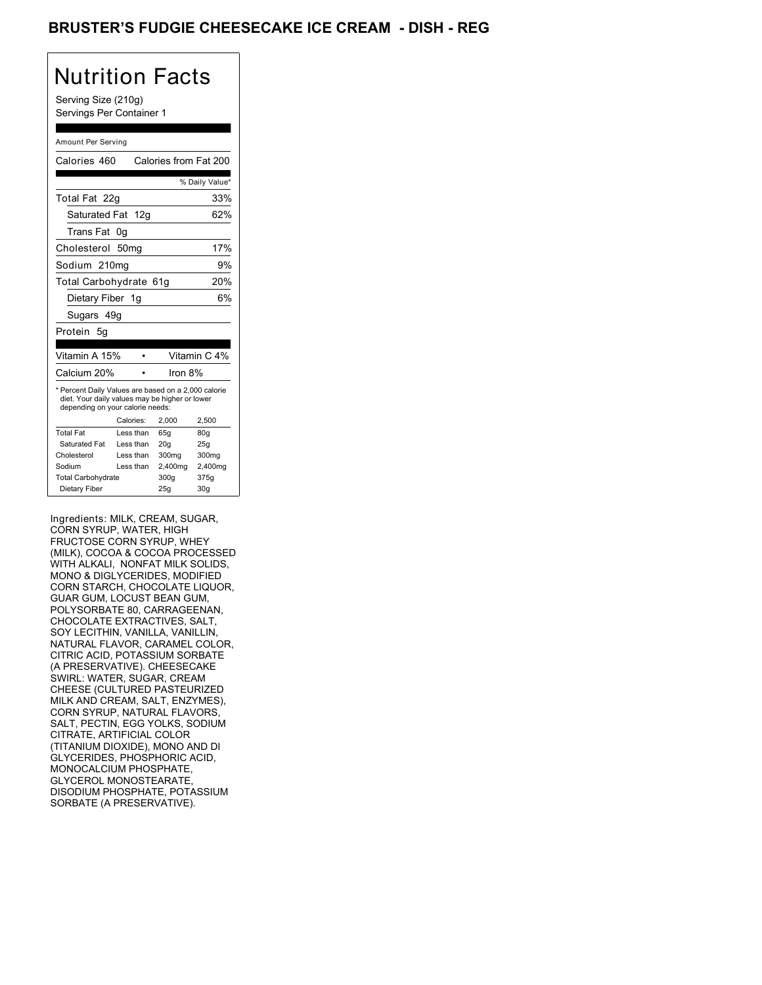### BRUSTER'S FUDGIE CHEESECAKE ICE CREAM - DISH - REG

## Nutrition Facts

Serving Size (210g) Servings Per Container 1

#### Amount Per Serving

| Calories 460                                                                                                                              |           | Calories from Fat 200 |                 |
|-------------------------------------------------------------------------------------------------------------------------------------------|-----------|-----------------------|-----------------|
|                                                                                                                                           |           |                       | % Daily Value*  |
| Total Fat 22g                                                                                                                             |           |                       | 33%             |
| Saturated Fat 12g                                                                                                                         |           |                       | 62%             |
| <b>Trans Fat</b>                                                                                                                          | 0g        |                       |                 |
| Cholesterol 50mg                                                                                                                          |           |                       | 17%             |
| Sodium 210mg                                                                                                                              |           |                       | 9%              |
| Total Carbohydrate 61g                                                                                                                    |           |                       | 20%             |
| Dietary Fiber 1g                                                                                                                          |           |                       | 6%              |
| Sugars 49g                                                                                                                                |           |                       |                 |
| Protein 5q                                                                                                                                |           |                       |                 |
|                                                                                                                                           |           |                       |                 |
| Vitamin A 15%                                                                                                                             |           |                       | Vitamin C 4%    |
| Calcium 20%                                                                                                                               |           | Iron 8%               |                 |
| * Percent Daily Values are based on a 2,000 calorie<br>diet. Your daily values may be higher or lower<br>depending on your calorie needs: |           |                       |                 |
|                                                                                                                                           | Calories: | 2.000                 | 2,500           |
| <b>Total Fat</b>                                                                                                                          | Less than | 65q                   | 80 <sub>g</sub> |
| Saturated Fat                                                                                                                             | Less than | 20q                   | 25q             |
| Cholesterol                                                                                                                               | Less than | 300mg                 | 300mg           |
| Sodium                                                                                                                                    | Less than | 2,400mg               | 2,400mg         |
| <b>Total Carbohydrate</b>                                                                                                                 |           | 300a                  | 375g            |
| Dietary Fiber                                                                                                                             |           | 25q                   | 30 <sub>q</sub> |

Ingredients: MILK, CREAM, SUGAR, CORN SYRUP, WATER, HIGH FRUCTOSE CORN SYRUP, WHEY (MILK), COCOA & COCOA PROCESSED WITH ALKALI, NONFAT MILK SOLIDS, MONO & DIGLYCERIDES, MODIFIED CORN STARCH, CHOCOLATE LIQUOR, GUAR GUM, LOCUST BEAN GUM, POLYSORBATE 80, CARRAGEENAN, CHOCOLATE EXTRACTIVES, SALT, SOY LECITHIN, VANILLA, VANILLIN, NATURAL FLAVOR, CARAMEL COLOR, CITRIC ACID, POTASSIUM SORBATE (A PRESERVATIVE). CHEESECAKE SWIRL: WATER, SUGAR, CREAM CHEESE (CULTURED PASTEURIZED MILK AND CREAM, SALT, ENZYMES), CORN SYRUP, NATURAL FLAVORS, SALT, PECTIN, EGG YOLKS, SODIUM CITRATE, ARTIFICIAL COLOR (TITANIUM DIOXIDE), MONO AND DI GLYCERIDES, PHOSPHORIC ACID, MONOCALCIUM PHOSPHATE, GLYCEROL MONOSTEARATE, DISODIUM PHOSPHATE, POTASSIUM SORBATE (A PRESERVATIVE).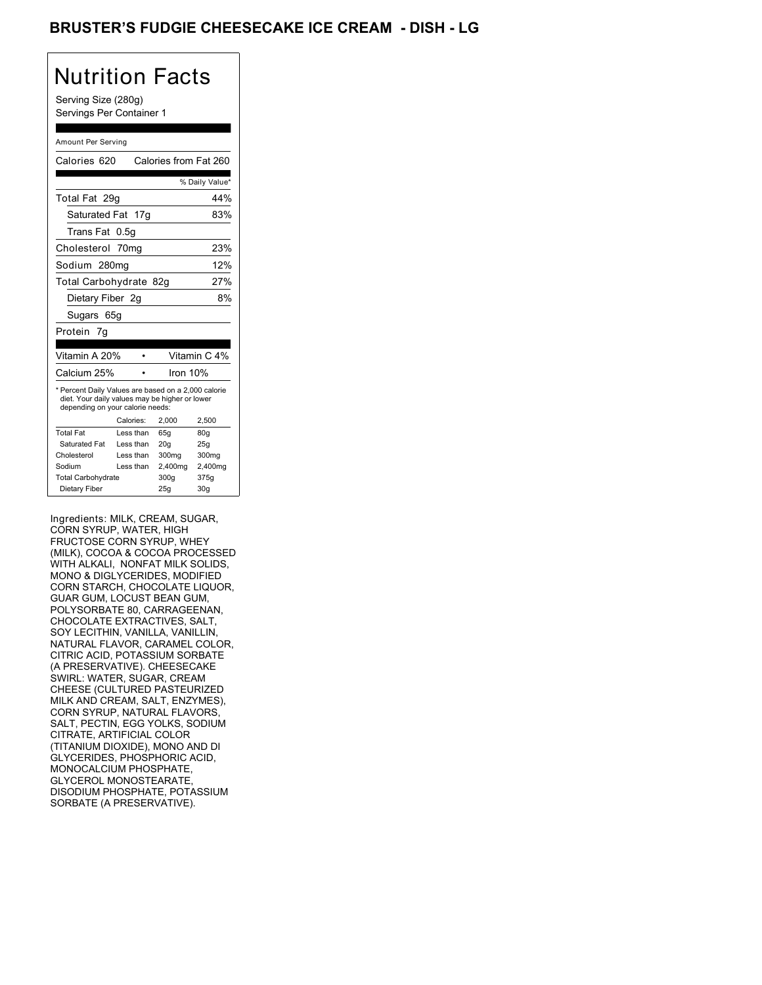### BRUSTER'S FUDGIE CHEESECAKE ICE CREAM - DISH <mark>- LG</mark>

## Nutrition Facts

Serving Size (280g) Servings Per Container 1

#### Amount Per Serving

| Calories 620                                                                                                                              |           | Calories from Fat 260 |                 |
|-------------------------------------------------------------------------------------------------------------------------------------------|-----------|-----------------------|-----------------|
|                                                                                                                                           |           |                       | % Daily Value*  |
| Total Fat 29g                                                                                                                             |           |                       | 44%             |
| Saturated Fat 17g                                                                                                                         |           |                       | 83%             |
| Trans Fat                                                                                                                                 | 0.5g      |                       |                 |
| Cholesterol 70mg                                                                                                                          |           |                       | 23%             |
| Sodium 280mg                                                                                                                              |           |                       | 12%             |
| Total Carbohydrate 82g                                                                                                                    |           |                       | 27%             |
| Dietary Fiber 2q                                                                                                                          |           |                       | 8%              |
| Sugars 65g                                                                                                                                |           |                       |                 |
| Protein 7g                                                                                                                                |           |                       |                 |
|                                                                                                                                           |           |                       |                 |
| Vitamin A 20%                                                                                                                             |           |                       | Vitamin C 4%    |
| Calcium 25%                                                                                                                               |           | Iron 10%              |                 |
| * Percent Daily Values are based on a 2,000 calorie<br>diet. Your daily values may be higher or lower<br>depending on your calorie needs: |           |                       |                 |
|                                                                                                                                           | Calories: | 2,000                 | 2,500           |
| <b>Total Fat</b>                                                                                                                          | Less than | 65q                   | 80q             |
| Saturated Fat                                                                                                                             | Less than | 20q                   | 25q             |
| Cholesterol                                                                                                                               | Less than | 300mg                 | 300mg           |
| Sodium                                                                                                                                    | Less than | 2,400mg               | 2,400mg         |
| <b>Total Carbohydrate</b>                                                                                                                 |           | 300a                  | 375g            |
| Dietary Fiber                                                                                                                             |           | 25q                   | 30 <sub>g</sub> |

Ingredients: MILK, CREAM, SUGAR, CORN SYRUP, WATER, HIGH FRUCTOSE CORN SYRUP, WHEY (MILK), COCOA & COCOA PROCESSED WITH ALKALI, NONFAT MILK SOLIDS, MONO & DIGLYCERIDES, MODIFIED CORN STARCH, CHOCOLATE LIQUOR, GUAR GUM, LOCUST BEAN GUM, POLYSORBATE 80, CARRAGEENAN, CHOCOLATE EXTRACTIVES, SALT, SOY LECITHIN, VANILLA, VANILLIN, NATURAL FLAVOR, CARAMEL COLOR, CITRIC ACID, POTASSIUM SORBATE (A PRESERVATIVE). CHEESECAKE SWIRL: WATER, SUGAR, CREAM CHEESE (CULTURED PASTEURIZED MILK AND CREAM, SALT, ENZYMES), CORN SYRUP, NATURAL FLAVORS, SALT, PECTIN, EGG YOLKS, SODIUM CITRATE, ARTIFICIAL COLOR (TITANIUM DIOXIDE), MONO AND DI GLYCERIDES, PHOSPHORIC ACID, MONOCALCIUM PHOSPHATE, GLYCEROL MONOSTEARATE, DISODIUM PHOSPHATE, POTASSIUM SORBATE (A PRESERVATIVE).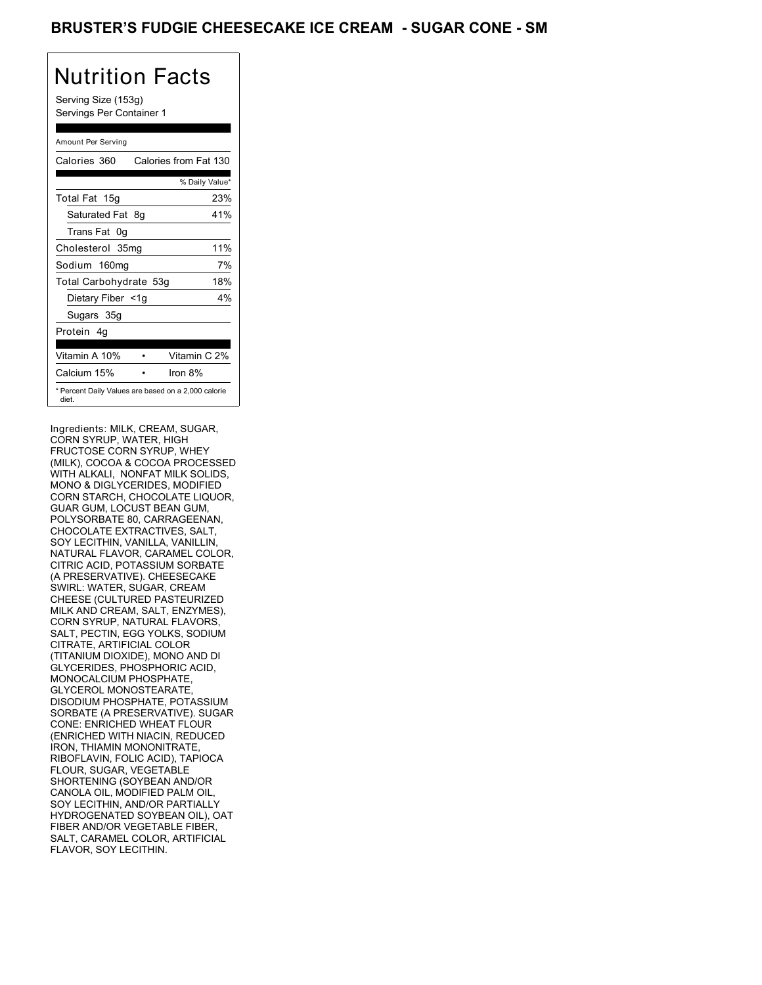### BRUSTER'S FUDGIE CHEESECAKE ICE CREAM - SUGAR CONE - SM

# Nutrition Facts

Serving Size (153g) Servings Per Container 1

#### Amount Per Serving

| Calories 360           | Calories from Fat 130                               |
|------------------------|-----------------------------------------------------|
|                        | % Daily Value*                                      |
| Total Fat 15g          | 23%                                                 |
| Saturated Fat 8g       | 41%                                                 |
| Trans Fat 0q           |                                                     |
| Cholesterol 35mg       | 11%                                                 |
| Sodium 160mg           | 7%                                                  |
| Total Carbohydrate 53g | 18%                                                 |
| Dietary Fiber <1g      | $4\%$                                               |
| Sugars 35g             |                                                     |
| Protein 4q             |                                                     |
| Vitamin A 10%          | Vitamin C 2%                                        |
| Calcium 15%            | Iron $8\%$                                          |
| diet.                  | * Percent Daily Values are based on a 2,000 calorie |

Ingredients: MILK, CREAM, SUGAR, CORN SYRUP, WATER, HIGH FRUCTOSE CORN SYRUP, WHEY (MILK), COCOA & COCOA PROCESSED WITH ALKALI, NONFAT MILK SOLIDS, MONO & DIGLYCERIDES, MODIFIED CORN STARCH, CHOCOLATE LIQUOR, GUAR GUM, LOCUST BEAN GUM, POLYSORBATE 80, CARRAGEENAN, CHOCOLATE EXTRACTIVES, SALT, SOY LECITHIN, VANILLA, VANILLIN, NATURAL FLAVOR, CARAMEL COLOR, CITRIC ACID, POTASSIUM SORBATE (A PRESERVATIVE). CHEESECAKE SWIRL: WATER, SUGAR, CREAM CHEESE (CULTURED PASTEURIZED MILK AND CREAM, SALT, ENZYMES), CORN SYRUP, NATURAL FLAVORS, SALT, PECTIN, EGG YOLKS, SODIUM CITRATE, ARTIFICIAL COLOR (TITANIUM DIOXIDE), MONO AND DI GLYCERIDES, PHOSPHORIC ACID, MONOCALCIUM PHOSPHATE, GLYCEROL MONOSTEARATE, DISODIUM PHOSPHATE, POTASSIUM SORBATE (A PRESERVATIVE). SUGAR CONE: ENRICHED WHEAT FLOUR (ENRICHED WITH NIACIN, REDUCED IRON, THIAMIN MONONITRATE, RIBOFLAVIN, FOLIC ACID), TAPIOCA FLOUR, SUGAR, VEGETABLE SHORTENING (SOYBEAN AND/OR CANOLA OIL, MODIFIED PALM OIL, SOY LECITHIN, AND/OR PARTIALLY HYDROGENATED SOYBEAN OIL), OAT FIBER AND/OR VEGETABLE FIBER, SALT, CARAMEL COLOR, ARTIFICIAL FLAVOR, SOY LECITHIN.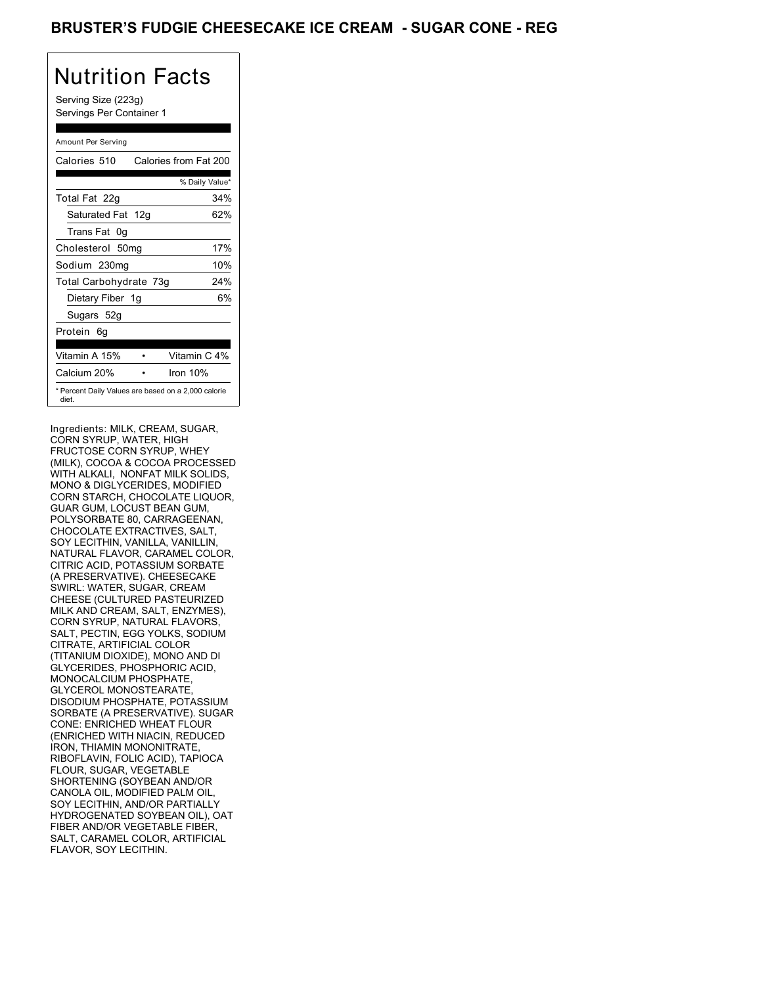### **BRUSTER'S FUDGIE CHEESECAKE ICE CREAM - SUGAR CONE - REG**

## Nutrition Facts

Serving Size (223g) Servings Per Container 1

#### Amount Per Serving

| Calories 510                                                 | Calories from Fat 200 |    |
|--------------------------------------------------------------|-----------------------|----|
|                                                              | % Daily Value*        |    |
| Total Fat 22g                                                | 34%                   |    |
| Saturated Fat 12g                                            | 62%                   |    |
| Trans Fat 0q                                                 |                       |    |
| Cholesterol 50mg                                             | 17%                   |    |
| Sodium 230mg                                                 | 10%                   |    |
| Total Carbohydrate 73g                                       | 24%                   |    |
| Dietary Fiber 1g                                             |                       | 6% |
| Sugars 52g                                                   |                       |    |
| Protein 6q                                                   |                       |    |
| Vitamin A 15%                                                | Vitamin C 4%          |    |
| Calcium 20%                                                  | Iron 10%              |    |
| * Percent Daily Values are based on a 2,000 calorie<br>diet. |                       |    |

Ingredients: MILK, CREAM, SUGAR, CORN SYRUP, WATER, HIGH FRUCTOSE CORN SYRUP, WHEY (MILK), COCOA & COCOA PROCESSED WITH ALKALI, NONFAT MILK SOLIDS, MONO & DIGLYCERIDES, MODIFIED CORN STARCH, CHOCOLATE LIQUOR, GUAR GUM, LOCUST BEAN GUM, POLYSORBATE 80, CARRAGEENAN, CHOCOLATE EXTRACTIVES, SALT, SOY LECITHIN, VANILLA, VANILLIN, NATURAL FLAVOR, CARAMEL COLOR, CITRIC ACID, POTASSIUM SORBATE (A PRESERVATIVE). CHEESECAKE SWIRL: WATER, SUGAR, CREAM CHEESE (CULTURED PASTEURIZED MILK AND CREAM, SALT, ENZYMES), CORN SYRUP, NATURAL FLAVORS, SALT, PECTIN, EGG YOLKS, SODIUM CITRATE, ARTIFICIAL COLOR (TITANIUM DIOXIDE), MONO AND DI GLYCERIDES, PHOSPHORIC ACID, MONOCALCIUM PHOSPHATE, GLYCEROL MONOSTEARATE, DISODIUM PHOSPHATE, POTASSIUM SORBATE (A PRESERVATIVE). SUGAR CONE: ENRICHED WHEAT FLOUR (ENRICHED WITH NIACIN, REDUCED IRON, THIAMIN MONONITRATE, RIBOFLAVIN, FOLIC ACID), TAPIOCA FLOUR, SUGAR, VEGETABLE SHORTENING (SOYBEAN AND/OR CANOLA OIL, MODIFIED PALM OIL, SOY LECITHIN, AND/OR PARTIALLY HYDROGENATED SOYBEAN OIL), OAT FIBER AND/OR VEGETABLE FIBER, SALT, CARAMEL COLOR, ARTIFICIAL FLAVOR, SOY LECITHIN.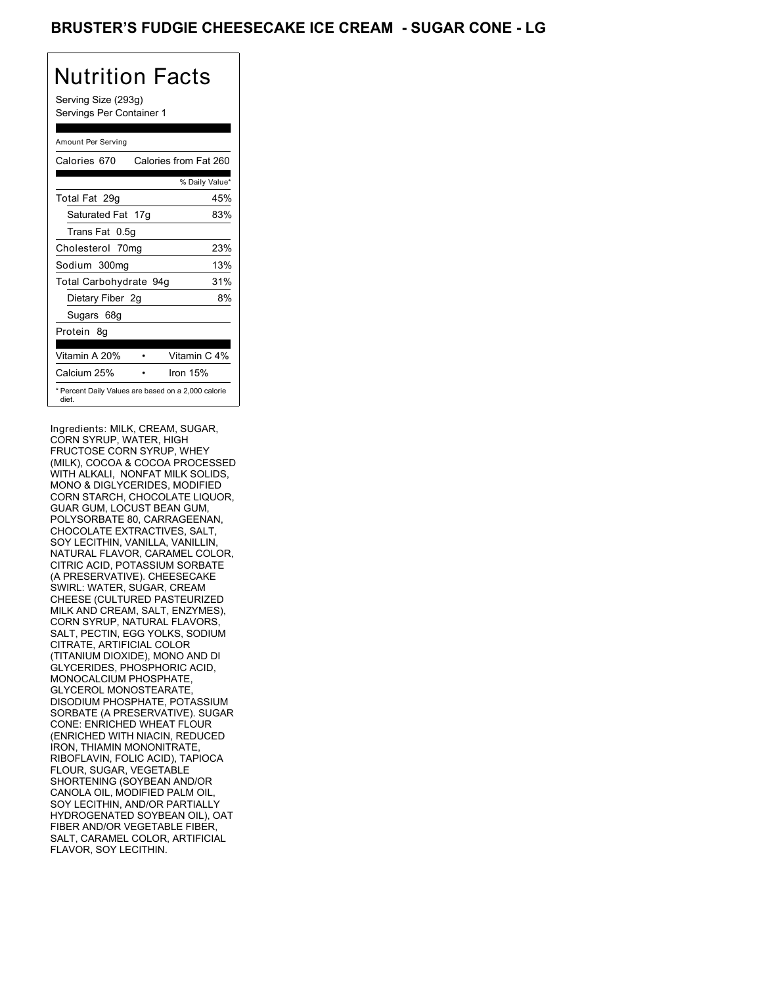### **BRUSTER'S FUDGIE CHEESECAKE ICE CREAM - SUGAR CONE - LG**

## Nutrition Facts

Serving Size (293g) Servings Per Container 1

#### Amount Per Serving

| Calories 670           | Calories from Fat 260                               |
|------------------------|-----------------------------------------------------|
|                        | % Daily Value*                                      |
| Total Fat 29q          | 45%                                                 |
| Saturated Fat 17g      | 83%                                                 |
| Trans Fat 0.5q         |                                                     |
| Cholesterol 70mg       | 23%                                                 |
| Sodium 300mg           | 13%                                                 |
| Total Carbohydrate 94g | 31%                                                 |
| Dietary Fiber 2g       | 8%                                                  |
| Sugars 68g             |                                                     |
| Protein 8q             |                                                     |
|                        |                                                     |
| Vitamin A 20%          | Vitamin C 4%                                        |
| Calcium 25%            | Iron 15%                                            |
| diet.                  | * Percent Daily Values are based on a 2,000 calorie |

Ingredients: MILK, CREAM, SUGAR, CORN SYRUP, WATER, HIGH FRUCTOSE CORN SYRUP, WHEY (MILK), COCOA & COCOA PROCESSED WITH ALKALI, NONFAT MILK SOLIDS, MONO & DIGLYCERIDES, MODIFIED CORN STARCH, CHOCOLATE LIQUOR, GUAR GUM, LOCUST BEAN GUM, POLYSORBATE 80, CARRAGEENAN, CHOCOLATE EXTRACTIVES, SALT, SOY LECITHIN, VANILLA, VANILLIN, NATURAL FLAVOR, CARAMEL COLOR, CITRIC ACID, POTASSIUM SORBATE (A PRESERVATIVE). CHEESECAKE SWIRL: WATER, SUGAR, CREAM CHEESE (CULTURED PASTEURIZED MILK AND CREAM, SALT, ENZYMES), CORN SYRUP, NATURAL FLAVORS, SALT, PECTIN, EGG YOLKS, SODIUM CITRATE, ARTIFICIAL COLOR (TITANIUM DIOXIDE), MONO AND DI GLYCERIDES, PHOSPHORIC ACID, MONOCALCIUM PHOSPHATE, GLYCEROL MONOSTEARATE, DISODIUM PHOSPHATE, POTASSIUM SORBATE (A PRESERVATIVE). SUGAR CONE: ENRICHED WHEAT FLOUR (ENRICHED WITH NIACIN, REDUCED IRON, THIAMIN MONONITRATE, RIBOFLAVIN, FOLIC ACID), TAPIOCA FLOUR, SUGAR, VEGETABLE SHORTENING (SOYBEAN AND/OR CANOLA OIL, MODIFIED PALM OIL, SOY LECITHIN, AND/OR PARTIALLY HYDROGENATED SOYBEAN OIL), OAT FIBER AND/OR VEGETABLE FIBER, SALT, CARAMEL COLOR, ARTIFICIAL FLAVOR, SOY LECITHIN.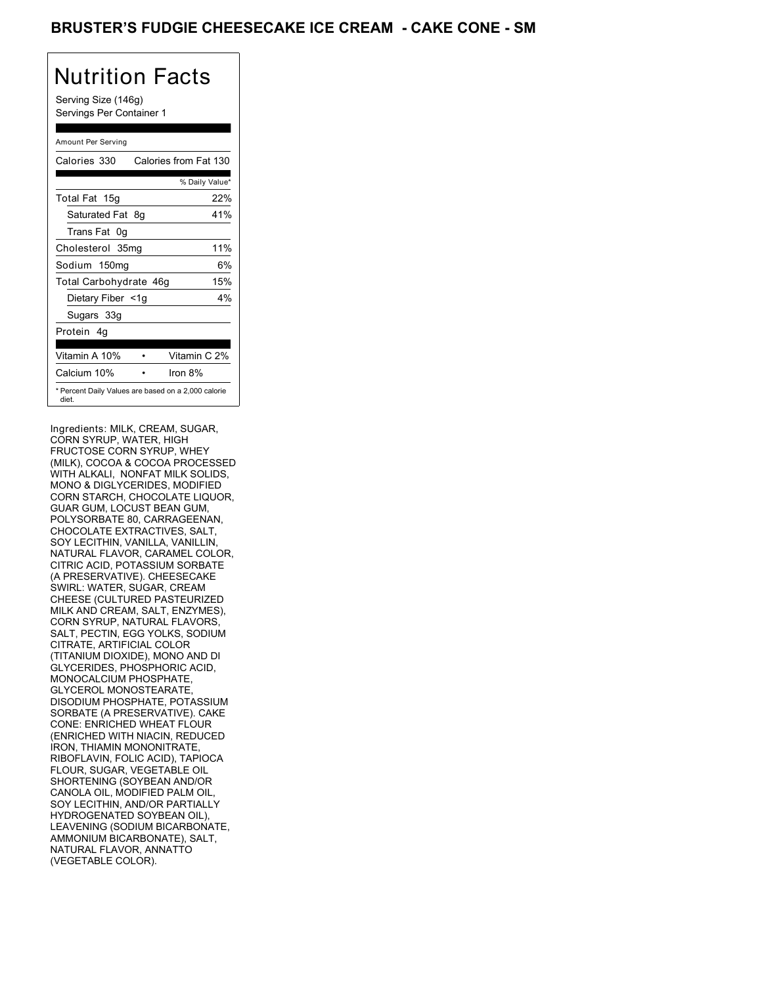### BRUSTER'S FUDGIE CHEESECAKE ICE CREAM - CAKE CONE - SM

## Nutrition Facts

Serving Size (146g) Servings Per Container 1

### Amount Per Serving

| Calories 330           | Calories from Fat 130                               |
|------------------------|-----------------------------------------------------|
|                        | % Daily Value*                                      |
| Total Fat 15g          | 22%                                                 |
| Saturated Fat 8g       | 41%                                                 |
| Trans Fat 0q           |                                                     |
| Cholesterol 35mg       | 11%                                                 |
| Sodium 150mg           | 6%                                                  |
| Total Carbohydrate 46g | 15%                                                 |
| Dietary Fiber <1g      | $4\%$                                               |
| Sugars 33g             |                                                     |
| Protein 4q             |                                                     |
| Vitamin A 10%          | Vitamin C 2%                                        |
| Calcium 10%            | Iron $8\%$                                          |
| diet.                  | * Percent Daily Values are based on a 2,000 calorie |

Ingredients: MILK, CREAM, SUGAR, CORN SYRUP, WATER, HIGH FRUCTOSE CORN SYRUP, WHEY (MILK), COCOA & COCOA PROCESSED WITH ALKALI, NONFAT MILK SOLIDS, MONO & DIGLYCERIDES, MODIFIED CORN STARCH, CHOCOLATE LIQUOR, GUAR GUM, LOCUST BEAN GUM, POLYSORBATE 80, CARRAGEENAN, CHOCOLATE EXTRACTIVES, SALT, SOY LECITHIN, VANILLA, VANILLIN, NATURAL FLAVOR, CARAMEL COLOR, CITRIC ACID, POTASSIUM SORBATE (A PRESERVATIVE). CHEESECAKE SWIRL: WATER, SUGAR, CREAM CHEESE (CULTURED PASTEURIZED MILK AND CREAM, SALT, ENZYMES), CORN SYRUP, NATURAL FLAVORS, SALT, PECTIN, EGG YOLKS, SODIUM CITRATE, ARTIFICIAL COLOR (TITANIUM DIOXIDE), MONO AND DI GLYCERIDES, PHOSPHORIC ACID, MONOCALCIUM PHOSPHATE, GLYCEROL MONOSTEARATE, DISODIUM PHOSPHATE, POTASSIUM SORBATE (A PRESERVATIVE). CAKE CONE: ENRICHED WHEAT FLOUR (ENRICHED WITH NIACIN, REDUCED IRON, THIAMIN MONONITRATE, RIBOFLAVIN, FOLIC ACID), TAPIOCA FLOUR, SUGAR, VEGETABLE OIL SHORTENING (SOYBEAN AND/OR CANOLA OIL, MODIFIED PALM OIL, SOY LECITHIN, AND/OR PARTIALLY HYDROGENATED SOYBEAN OIL), LEAVENING (SODIUM BICARBONATE, AMMONIUM BICARBONATE), SALT, NATURAL FLAVOR, ANNATTO (VEGETABLE COLOR).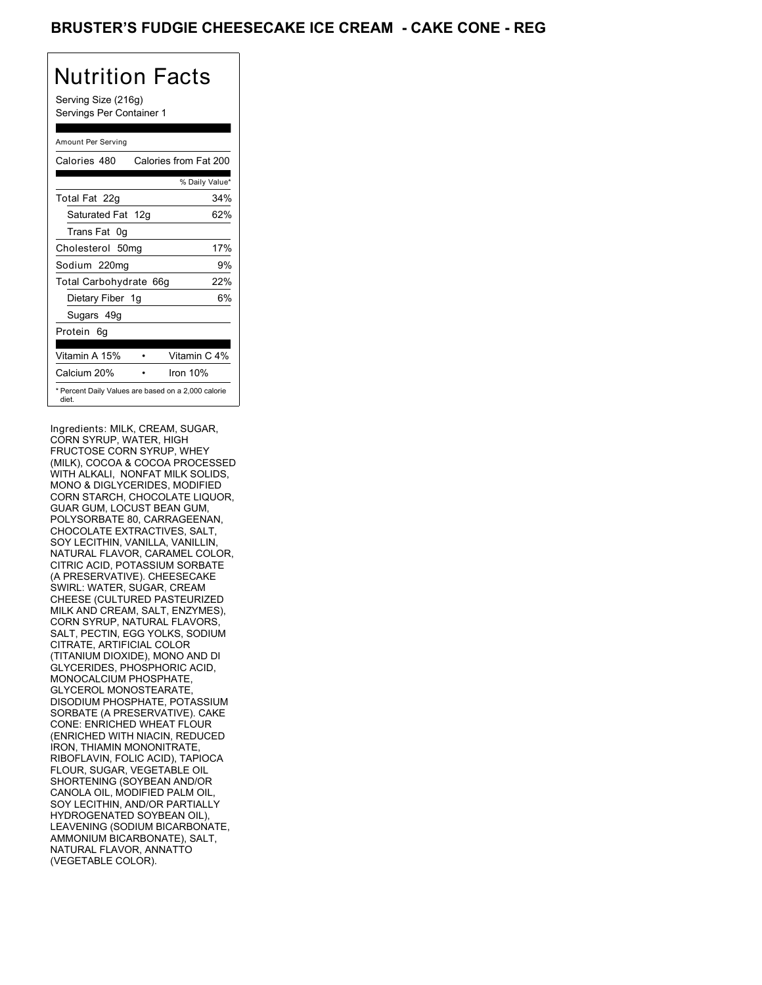### **BRUSTER'S FUDGIE CHEESECAKE ICE CREAM - CAKE CONE - REG**

## Nutrition Facts

Serving Size (216g) Servings Per Container 1

#### Amount Per Serving

| Calories 480                                                 | Calories from Fat 200 |
|--------------------------------------------------------------|-----------------------|
|                                                              | % Daily Value*        |
| Total Fat 22g                                                | 34%                   |
| Saturated Fat 12g                                            | 62%                   |
| Trans Fat 0q                                                 |                       |
| Cholesterol 50mg                                             | 17%                   |
| Sodium 220mg                                                 | 9%                    |
| Total Carbohydrate 66g                                       | 22%                   |
| Dietary Fiber 1g                                             | 6%                    |
| Sugars 49g                                                   |                       |
| Protein 6q                                                   |                       |
| Vitamin A 15%                                                | Vitamin C 4%          |
| Calcium 20%                                                  | Iron 10%              |
| * Percent Daily Values are based on a 2,000 calorie<br>diet. |                       |

Ingredients: MILK, CREAM, SUGAR, CORN SYRUP, WATER, HIGH FRUCTOSE CORN SYRUP, WHEY (MILK), COCOA & COCOA PROCESSED WITH ALKALI, NONFAT MILK SOLIDS, MONO & DIGLYCERIDES, MODIFIED CORN STARCH, CHOCOLATE LIQUOR, GUAR GUM, LOCUST BEAN GUM, POLYSORBATE 80, CARRAGEENAN, CHOCOLATE EXTRACTIVES, SALT, SOY LECITHIN, VANILLA, VANILLIN, NATURAL FLAVOR, CARAMEL COLOR, CITRIC ACID, POTASSIUM SORBATE (A PRESERVATIVE). CHEESECAKE SWIRL: WATER, SUGAR, CREAM CHEESE (CULTURED PASTEURIZED MILK AND CREAM, SALT, ENZYMES), CORN SYRUP, NATURAL FLAVORS, SALT, PECTIN, EGG YOLKS, SODIUM CITRATE, ARTIFICIAL COLOR (TITANIUM DIOXIDE), MONO AND DI GLYCERIDES, PHOSPHORIC ACID, MONOCALCIUM PHOSPHATE, GLYCEROL MONOSTEARATE, DISODIUM PHOSPHATE, POTASSIUM SORBATE (A PRESERVATIVE). CAKE CONE: ENRICHED WHEAT FLOUR (ENRICHED WITH NIACIN, REDUCED IRON, THIAMIN MONONITRATE, RIBOFLAVIN, FOLIC ACID), TAPIOCA FLOUR, SUGAR, VEGETABLE OIL SHORTENING (SOYBEAN AND/OR CANOLA OIL, MODIFIED PALM OIL, SOY LECITHIN, AND/OR PARTIALLY HYDROGENATED SOYBEAN OIL), LEAVENING (SODIUM BICARBONATE, AMMONIUM BICARBONATE), SALT, NATURAL FLAVOR, ANNATTO (VEGETABLE COLOR).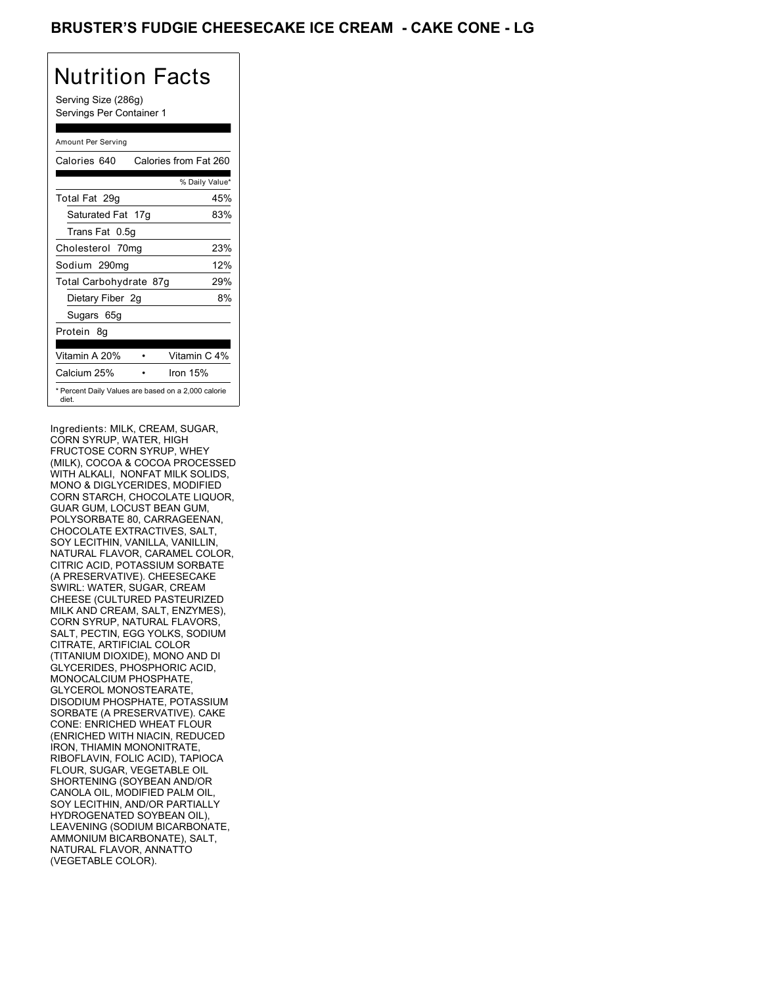### **BRUSTER'S FUDGIE CHEESECAKE ICE CREAM - CAKE CONE - LG**

## Nutrition Facts

Serving Size (286g) Servings Per Container 1

#### Amount Per Serving

| Calories 640                                                 | Calories from Fat 260 |
|--------------------------------------------------------------|-----------------------|
|                                                              | % Daily Value*        |
| Total Fat 29g                                                | 45%                   |
| Saturated Fat 17g                                            | 83%                   |
| Trans Fat 0.5g                                               |                       |
| Cholesterol 70mg                                             | 23%                   |
| Sodium 290mg                                                 | 12%                   |
| Total Carbohydrate 87g                                       | 29%                   |
| Dietary Fiber 2g                                             | 8%                    |
| Sugars 65g                                                   |                       |
| Protein 8q                                                   |                       |
| Vitamin A 20%                                                | Vitamin C 4%          |
| Calcium 25%                                                  | Iron $15%$            |
| * Percent Daily Values are based on a 2,000 calorie<br>diet. |                       |

Ingredients: MILK, CREAM, SUGAR, CORN SYRUP, WATER, HIGH FRUCTOSE CORN SYRUP, WHEY (MILK), COCOA & COCOA PROCESSED WITH ALKALI, NONFAT MILK SOLIDS, MONO & DIGLYCERIDES, MODIFIED CORN STARCH, CHOCOLATE LIQUOR, GUAR GUM, LOCUST BEAN GUM, POLYSORBATE 80, CARRAGEENAN, CHOCOLATE EXTRACTIVES, SALT, SOY LECITHIN, VANILLA, VANILLIN, NATURAL FLAVOR, CARAMEL COLOR, CITRIC ACID, POTASSIUM SORBATE (A PRESERVATIVE). CHEESECAKE SWIRL: WATER, SUGAR, CREAM CHEESE (CULTURED PASTEURIZED MILK AND CREAM, SALT, ENZYMES), CORN SYRUP, NATURAL FLAVORS, SALT, PECTIN, EGG YOLKS, SODIUM CITRATE, ARTIFICIAL COLOR (TITANIUM DIOXIDE), MONO AND DI GLYCERIDES, PHOSPHORIC ACID, MONOCALCIUM PHOSPHATE, GLYCEROL MONOSTEARATE, DISODIUM PHOSPHATE, POTASSIUM SORBATE (A PRESERVATIVE). CAKE CONE: ENRICHED WHEAT FLOUR (ENRICHED WITH NIACIN, REDUCED IRON, THIAMIN MONONITRATE, RIBOFLAVIN, FOLIC ACID), TAPIOCA FLOUR, SUGAR, VEGETABLE OIL SHORTENING (SOYBEAN AND/OR CANOLA OIL, MODIFIED PALM OIL, SOY LECITHIN, AND/OR PARTIALLY HYDROGENATED SOYBEAN OIL), LEAVENING (SODIUM BICARBONATE, AMMONIUM BICARBONATE), SALT, NATURAL FLAVOR, ANNATTO (VEGETABLE COLOR).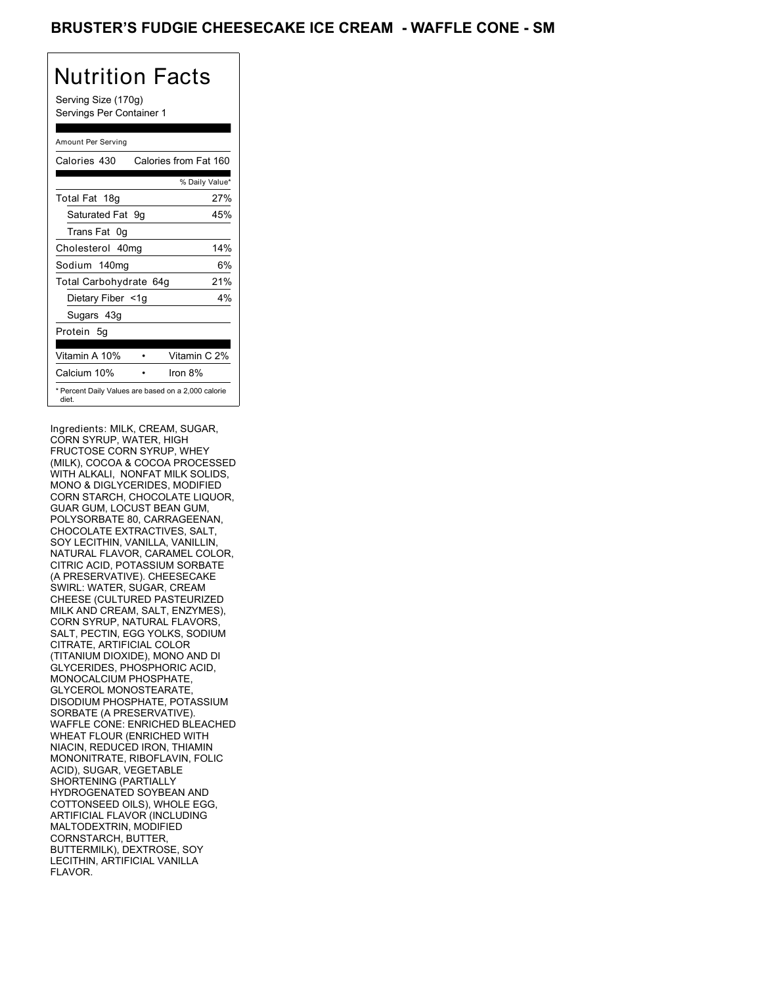### BRUSTER'S FUDGIE CHEESECAKE ICE CREAM - WAFFLE CONE - SM

# Nutrition Facts

Serving Size (170g) Servings Per Container 1

### Amount Per Serving

| Calories 430           | Calories from Fat 160                               |
|------------------------|-----------------------------------------------------|
|                        | % Daily Value*                                      |
| Total Fat 18g          | 27%                                                 |
| Saturated Fat 9q       | 45%                                                 |
| Trans Fat 0q           |                                                     |
| Cholesterol 40mg       | 14%                                                 |
| Sodium 140mg           | 6%                                                  |
| Total Carbohydrate 64g | 21%                                                 |
| Dietary Fiber <1g      | $4\%$                                               |
| Sugars 43g             |                                                     |
| Protein 5q             |                                                     |
| Vitamin A 10%          | Vitamin C 2%                                        |
| Calcium 10%            | Iron $8\%$                                          |
| diet.                  | * Percent Daily Values are based on a 2,000 calorie |

Ingredients: MILK, CREAM, SUGAR, CORN SYRUP, WATER, HIGH FRUCTOSE CORN SYRUP, WHEY (MILK), COCOA & COCOA PROCESSED WITH ALKALI, NONFAT MILK SOLIDS, MONO & DIGLYCERIDES, MODIFIED CORN STARCH, CHOCOLATE LIQUOR, GUAR GUM, LOCUST BEAN GUM, POLYSORBATE 80, CARRAGEENAN, CHOCOLATE EXTRACTIVES, SALT, SOY LECITHIN, VANILLA, VANILLIN, NATURAL FLAVOR, CARAMEL COLOR, CITRIC ACID, POTASSIUM SORBATE (A PRESERVATIVE). CHEESECAKE SWIRL: WATER, SUGAR, CREAM CHEESE (CULTURED PASTEURIZED MILK AND CREAM, SALT, ENZYMES), CORN SYRUP, NATURAL FLAVORS, SALT, PECTIN, EGG YOLKS, SODIUM CITRATE, ARTIFICIAL COLOR (TITANIUM DIOXIDE), MONO AND DI GLYCERIDES, PHOSPHORIC ACID, MONOCALCIUM PHOSPHATE, GLYCEROL MONOSTEARATE, DISODIUM PHOSPHATE, POTASSIUM SORBATE (A PRESERVATIVE). WAFFLE CONE: ENRICHED BLEACHED WHEAT FLOUR (ENRICHED WITH NIACIN, REDUCED IRON, THIAMIN MONONITRATE, RIBOFLAVIN, FOLIC ACID), SUGAR, VEGETABLE SHORTENING (PARTIALLY HYDROGENATED SOYBEAN AND COTTONSEED OILS), WHOLE EGG, ARTIFICIAL FLAVOR (INCLUDING MALTODEXTRIN, MODIFIED CORNSTARCH, BUTTER, BUTTERMILK), DEXTROSE, SOY LECITHIN, ARTIFICIAL VANILLA FLAVOR.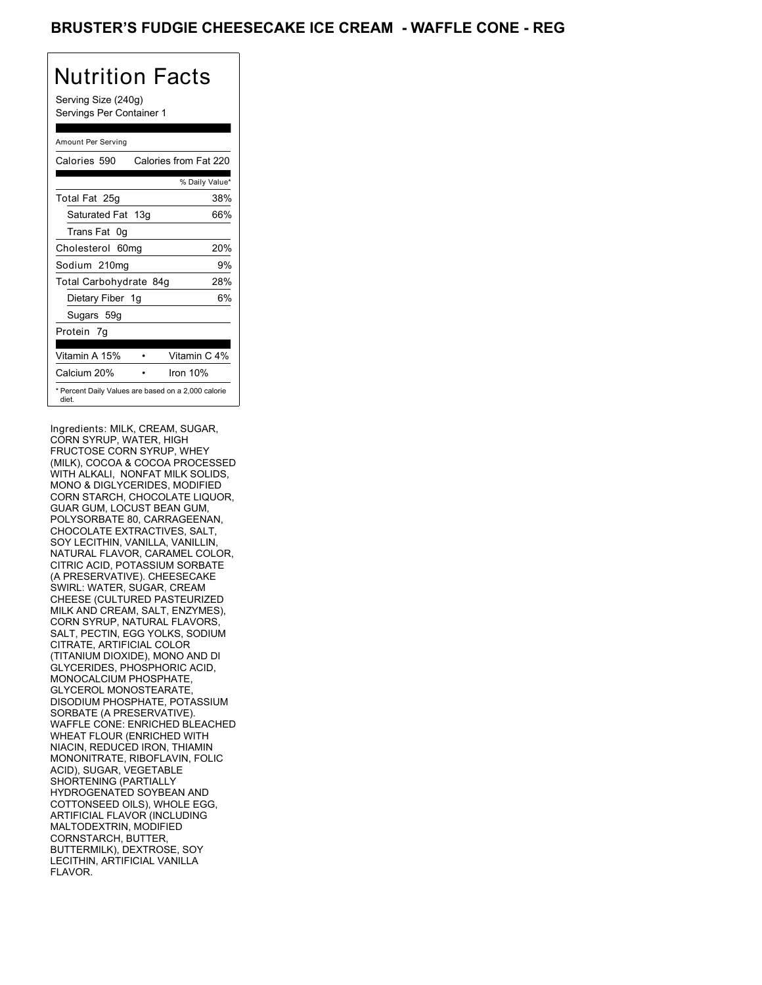### BRUSTER'S FUDGIE CHEESECAKE ICE CREAM - WAFFLE CONE - REG

## Nutrition Facts

Serving Size (240g) Servings Per Container 1

#### Amount Per Serving

| Calories 590                                                 | Calories from Fat 220 |
|--------------------------------------------------------------|-----------------------|
|                                                              | % Daily Value*        |
| Total Fat 25g                                                | 38%                   |
| Saturated Fat 13g                                            | 66%                   |
| Trans Fat 0q                                                 |                       |
| Cholesterol 60mg                                             | 20%                   |
| Sodium 210mg                                                 | 9%                    |
| Total Carbohydrate 84g                                       | 28%                   |
| Dietary Fiber 1g                                             | 6%                    |
| Sugars 59g                                                   |                       |
| Protein 7q                                                   |                       |
| Vitamin A 15%                                                | Vitamin C 4%          |
| Calcium 20%                                                  | Iron 10%              |
| * Percent Daily Values are based on a 2,000 calorie<br>diet. |                       |

Ingredients: MILK, CREAM, SUGAR, CORN SYRUP, WATER, HIGH FRUCTOSE CORN SYRUP, WHEY (MILK), COCOA & COCOA PROCESSED WITH ALKALI, NONFAT MILK SOLIDS, MONO & DIGLYCERIDES, MODIFIED CORN STARCH, CHOCOLATE LIQUOR, GUAR GUM, LOCUST BEAN GUM, POLYSORBATE 80, CARRAGEENAN, CHOCOLATE EXTRACTIVES, SALT, SOY LECITHIN, VANILLA, VANILLIN, NATURAL FLAVOR, CARAMEL COLOR, CITRIC ACID, POTASSIUM SORBATE (A PRESERVATIVE). CHEESECAKE SWIRL: WATER, SUGAR, CREAM CHEESE (CULTURED PASTEURIZED MILK AND CREAM, SALT, ENZYMES), CORN SYRUP, NATURAL FLAVORS, SALT, PECTIN, EGG YOLKS, SODIUM CITRATE, ARTIFICIAL COLOR (TITANIUM DIOXIDE), MONO AND DI GLYCERIDES, PHOSPHORIC ACID, MONOCALCIUM PHOSPHATE, GLYCEROL MONOSTEARATE, DISODIUM PHOSPHATE, POTASSIUM SORBATE (A PRESERVATIVE). WAFFLE CONE: ENRICHED BLEACHED WHEAT FLOUR (ENRICHED WITH NIACIN, REDUCED IRON, THIAMIN MONONITRATE, RIBOFLAVIN, FOLIC ACID), SUGAR, VEGETABLE SHORTENING (PARTIALLY HYDROGENATED SOYBEAN AND COTTONSEED OILS), WHOLE EGG, ARTIFICIAL FLAVOR (INCLUDING MALTODEXTRIN, MODIFIED CORNSTARCH, BUTTER, BUTTERMILK), DEXTROSE, SOY LECITHIN, ARTIFICIAL VANILLA FLAVOR.